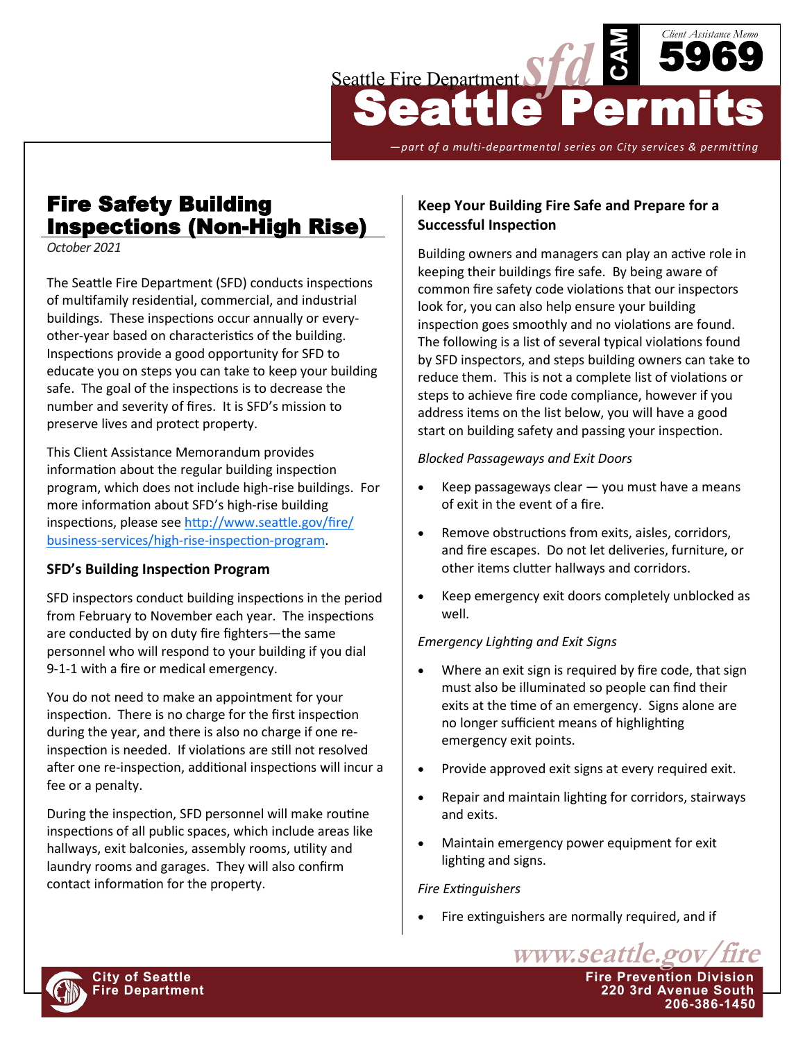

*—part of a multi-departmental series on City services & permitting*

# Fire Safety Building Inspections (Non-High Rise)

*October 2021*

The Seattle Fire Department (SFD) conducts inspections of multifamily residential, commercial, and industrial buildings. These inspections occur annually or everyother-year based on characteristics of the building. Inspections provide a good opportunity for SFD to educate you on steps you can take to keep your building safe. The goal of the inspections is to decrease the number and severity of fires. It is SFD's mission to preserve lives and protect property.

This Client Assistance Memorandum provides information about the regular building inspection program, which does not include high-rise buildings. For more information about SFD's high-rise building inspections, please see [http://www.seattle.gov/fire/](http://www.seattle.gov/fire/business-services/high-rise-inspection-program) business-[services/high](http://www.seattle.gov/fire/business-services/high-rise-inspection-program)-rise-inspection-program.

## **SFD's Building Inspection Program**

SFD inspectors conduct building inspections in the period from February to November each year. The inspections are conducted by on duty fire fighters—the same personnel who will respond to your building if you dial 9-1-1 with a fire or medical emergency.

You do not need to make an appointment for your inspection. There is no charge for the first inspection during the year, and there is also no charge if one reinspection is needed. If violations are still not resolved after one re-inspection, additional inspections will incur a fee or a penalty.

During the inspection, SFD personnel will make routine inspections of all public spaces, which include areas like hallways, exit balconies, assembly rooms, utility and laundry rooms and garages. They will also confirm contact information for the property.

## **Keep Your Building Fire Safe and Prepare for a Successful Inspection**

Building owners and managers can play an active role in keeping their buildings fire safe. By being aware of common fire safety code violations that our inspectors look for, you can also help ensure your building inspection goes smoothly and no violations are found. The following is a list of several typical violations found by SFD inspectors, and steps building owners can take to reduce them. This is not a complete list of violations or steps to achieve fire code compliance, however if you address items on the list below, you will have a good start on building safety and passing your inspection.

#### *Blocked Passageways and Exit Doors*

- Keep passageways clear  $-$  you must have a means of exit in the event of a fire.
- Remove obstructions from exits, aisles, corridors, and fire escapes. Do not let deliveries, furniture, or other items clutter hallways and corridors.
- Keep emergency exit doors completely unblocked as well.

## *Emergency Lighting and Exit Signs*

- Where an exit sign is required by fire code, that sign must also be illuminated so people can find their exits at the time of an emergency. Signs alone are no longer sufficient means of highlighting emergency exit points.
- Provide approved exit signs at every required exit.
- Repair and maintain lighting for corridors, stairways and exits.
- Maintain emergency power equipment for exit lighting and signs.

#### *Fire Extinguishers*

Fire extinguishers are normally required, and if

www.seattle.gov **City of Seattle Fire Prevention Division Fire Department 220 3rd Avenue South 206-386-1450**

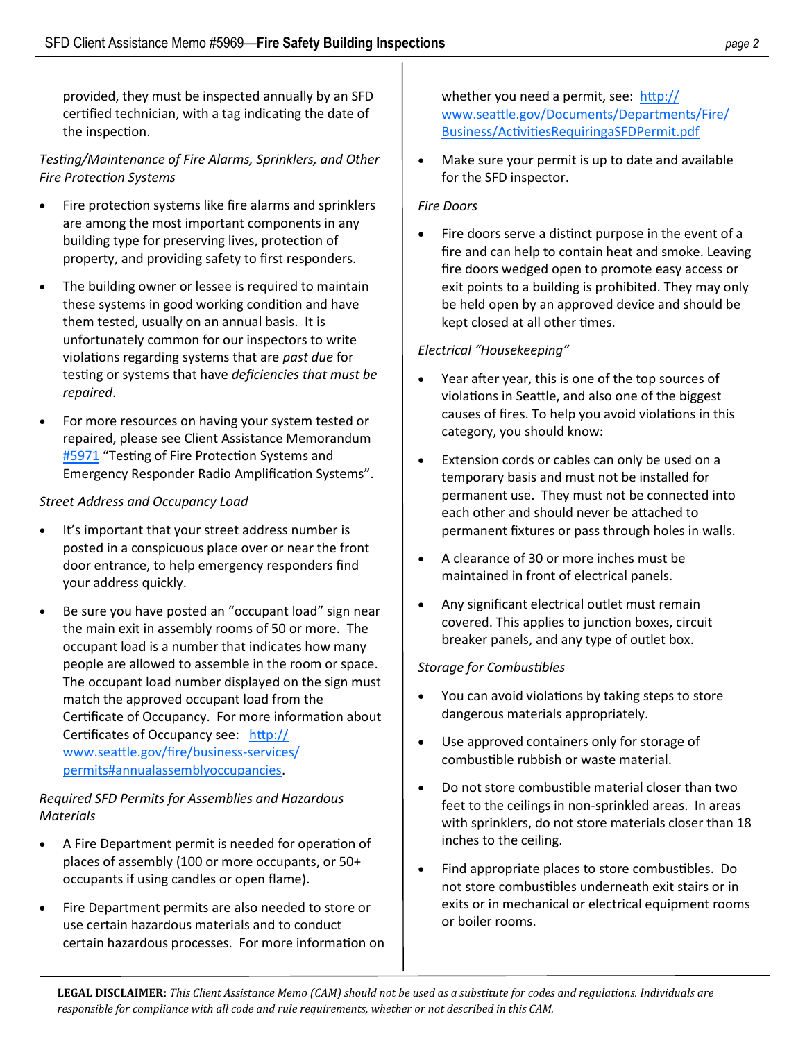provided, they must be inspected annually by an SFD certified technician, with a tag indicating the date of the inspection.

# *Testing/Maintenance of Fire Alarms, Sprinklers, and Other Fire Protection Systems*

- Fire protection systems like fire alarms and sprinklers are among the most important components in any building type for preserving lives, protection of property, and providing safety to first responders.
- The building owner or lessee is required to maintain these systems in good working condition and have them tested, usually on an annual basis. It is unfortunately common for our inspectors to write violations regarding systems that are *past due* for testing or systems that have *deficiencies that must be repaired*.
- For more resources on having your system tested or repaired, please see Client Assistance Memorandum [#5971](http://www.seattle.gov/fire/business-services/fire-code-and-fire-safety-documents#clientassistancememos) "Testing of Fire Protection Systems and Emergency Responder Radio Amplification Systems".

## *Street Address and Occupancy Load*

- It's important that your street address number is posted in a conspicuous place over or near the front door entrance, to help emergency responders find your address quickly.
- Be sure you have posted an "occupant load" sign near the main exit in assembly rooms of 50 or more. The occupant load is a number that indicates how many people are allowed to assemble in the room or space. The occupant load number displayed on the sign must match the approved occupant load from the Certificate of Occupancy. For more information about Certificates of Occupancy see: [http://](http://www.seattle.gov/fire/business-services/permits#annualassemblyoccupancies) [www.seattle.gov/fire/business](http://www.seattle.gov/fire/business-services/permits#annualassemblyoccupancies)-services/ [permits#annualassemblyoccupancies.](http://www.seattle.gov/fire/business-services/permits#annualassemblyoccupancies)

## *Required SFD Permits for Assemblies and Hazardous Materials*

- A Fire Department permit is needed for operation of places of assembly (100 or more occupants, or 50+ occupants if using candles or open flame).
- Fire Department permits are also needed to store or use certain hazardous materials and to conduct certain hazardous processes. For more information on

whether you need a permit, see: [http://](http://www.seattle.gov/Documents/Departments/Fire/Business/ActivitiesRequiringaSFDPermit.pdf) [www.seattle.gov/Documents/Departments/Fire/](http://www.seattle.gov/Documents/Departments/Fire/Business/ActivitiesRequiringaSFDPermit.pdf) [Business/ActivitiesRequiringaSFDPermit.pdf](http://www.seattle.gov/Documents/Departments/Fire/Business/ActivitiesRequiringaSFDPermit.pdf)

Make sure your permit is up to date and available for the SFD inspector.

## *Fire Doors*

Fire doors serve a distinct purpose in the event of a fire and can help to contain heat and smoke. Leaving fire doors wedged open to promote easy access or exit points to a building is prohibited. They may only be held open by an approved device and should be kept closed at all other times.

## *Electrical "Housekeeping"*

- Year after year, this is one of the top sources of violations in Seattle, and also one of the biggest causes of fires. To help you avoid violations in this category, you should know:
- Extension cords or cables can only be used on a temporary basis and must not be installed for permanent use. They must not be connected into each other and should never be attached to permanent fixtures or pass through holes in walls.
- A clearance of 30 or more inches must be maintained in front of electrical panels.
- Any significant electrical outlet must remain covered. This applies to junction boxes, circuit breaker panels, and any type of outlet box.

## *Storage for Combustibles*

- You can avoid violations by taking steps to store dangerous materials appropriately.
- Use approved containers only for storage of combustible rubbish or waste material.
- Do not store combustible material closer than two feet to the ceilings in non-sprinkled areas. In areas with sprinklers, do not store materials closer than 18 inches to the ceiling.
- Find appropriate places to store combustibles. Do not store combustibles underneath exit stairs or in exits or in mechanical or electrical equipment rooms or boiler rooms.

**LEGAL DISCLAIMER:** *This Client Assistance Memo (CAM) should not be used as a substitute for codes and regulations. Individuals are responsible for compliance with all code and rule requirements, whether or not described in this CAM.*